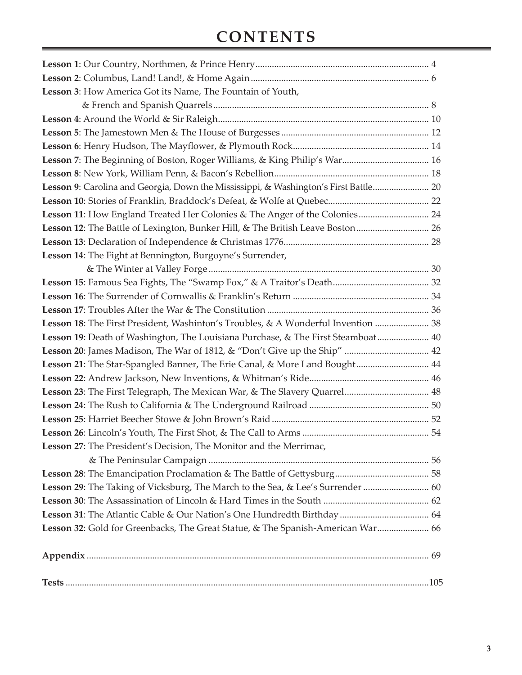## **Contents**

| Lesson 3: How America Got its Name, The Fountain of Youth,                           |  |
|--------------------------------------------------------------------------------------|--|
|                                                                                      |  |
|                                                                                      |  |
|                                                                                      |  |
|                                                                                      |  |
| Lesson 7: The Beginning of Boston, Roger Williams, & King Philip's War 16            |  |
|                                                                                      |  |
| Lesson 9: Carolina and Georgia, Down the Mississippi, & Washington's First Battle 20 |  |
|                                                                                      |  |
| Lesson 11: How England Treated Her Colonies & The Anger of the Colonies 24           |  |
| Lesson 12: The Battle of Lexington, Bunker Hill, & The British Leave Boston 26       |  |
|                                                                                      |  |
| Lesson 14: The Fight at Bennington, Burgoyne's Surrender,                            |  |
|                                                                                      |  |
|                                                                                      |  |
|                                                                                      |  |
|                                                                                      |  |
| Lesson 18: The First President, Washinton's Troubles, & A Wonderful Invention  38    |  |
| Lesson 19: Death of Washington, The Louisiana Purchase, & The First Steamboat 40     |  |
| Lesson 20: James Madison, The War of 1812, & "Don't Give up the Ship"  42            |  |
| Lesson 21: The Star-Spangled Banner, The Erie Canal, & More Land Bought 44           |  |
|                                                                                      |  |
| Lesson 23: The First Telegraph, The Mexican War, & The Slavery Quarrel 48            |  |
|                                                                                      |  |
|                                                                                      |  |
|                                                                                      |  |
| Lesson 27: The President's Decision, The Monitor and the Merrimac,                   |  |
|                                                                                      |  |
|                                                                                      |  |
| Lesson 29: The Taking of Vicksburg, The March to the Sea, & Lee's Surrender  60      |  |
|                                                                                      |  |
|                                                                                      |  |
| Lesson 32: Gold for Greenbacks, The Great Statue, & The Spanish-American War 66      |  |
|                                                                                      |  |
|                                                                                      |  |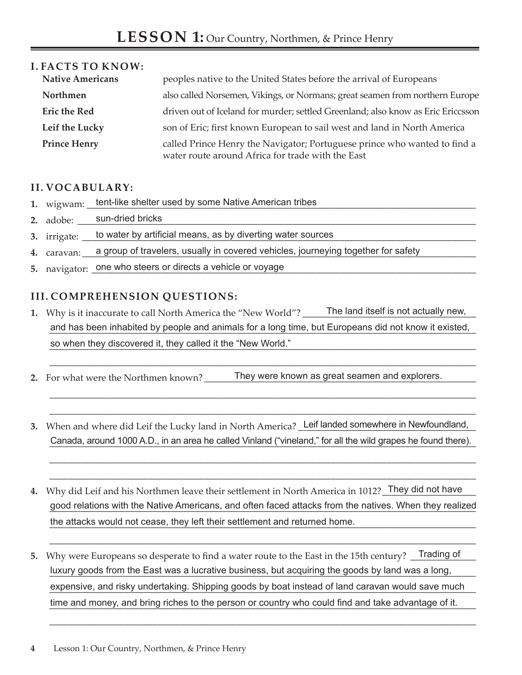| <b>I. FACTS TO KNOW:</b> |                                                                                                                                |
|--------------------------|--------------------------------------------------------------------------------------------------------------------------------|
| <b>Native Americans</b>  | peoples native to the United States before the arrival of Europeans                                                            |
| Northmen                 | also called Norsemen, Vikings, or Normans; great seamen from northern Europe                                                   |
| <b>Eric the Red</b>      | driven out of Iceland for murder; settled Greenland; also know as Eric Ericcsson                                               |
| Leif the Lucky           | son of Eric; first known European to sail west and land in North America                                                       |
| <b>Prince Henry</b>      | called Prince Henry the Navigator; Portuguese prince who wanted to find a<br>water route around Africa for trade with the East |

## **II. Vocabulary:**

- **1.** wigwam: \_\_\_\_\_\_\_\_\_\_\_\_\_\_\_\_\_\_\_\_\_\_\_\_\_\_\_\_\_\_\_\_\_\_\_\_\_\_\_\_\_\_\_\_\_\_\_\_\_\_\_\_\_\_\_\_\_\_\_\_\_\_\_\_\_\_\_\_\_\_\_\_\_\_\_\_\_\_\_\_\_\_\_ tent-like shelter used by some Native American tribes
- **2.** adobe: \_\_\_\_\_\_\_\_\_\_\_\_\_\_\_\_\_\_\_\_\_\_\_\_\_\_\_\_\_\_\_\_\_\_\_\_\_\_\_\_\_\_\_\_\_\_\_\_\_\_\_\_\_\_\_\_\_\_\_\_\_\_\_\_\_\_\_\_\_\_\_\_\_\_\_\_\_\_\_\_\_\_\_\_\_ sun-dried bricks
- 3. irrigate: <u>\_\_\_\_to water by artificial means, as by diverting water sources \_\_\_\_\_\_\_\_\_\_\_\_\_\_\_\_\_\_\_\_\_\_\_\_\_\_\_\_\_\_\_\_\_\_</u>
- 4. caravan: <u>\_\_\_\_a group of travelers, usually in covered vehicles, journeying together for safety</u>
- 5. navigator: <u>one who steers or directs a vehicle or voyage</u> and a substantial container and a substantial container

## **III. Comprehension Questions:**

**1.** Why is it inaccurate to call North America the "New World"? and has been inhabited by people and animals for a long time, but Europeans did not know it existed, so when they discovered it, they called it the "New World." **Solution** the summary contained in the "New World." The land itself is not actually new,

\_\_\_\_\_\_\_\_\_\_\_\_\_\_\_\_\_\_\_\_\_\_\_\_\_\_\_\_\_\_\_\_\_\_\_\_\_\_\_\_\_\_\_\_\_\_\_\_\_\_\_\_\_\_\_\_\_\_\_\_\_\_\_\_\_\_\_\_\_\_\_\_\_\_\_\_\_\_\_\_\_\_\_\_\_\_\_\_\_\_\_

\_\_\_\_\_\_\_\_\_\_\_\_\_\_\_\_\_\_\_\_\_\_\_\_\_\_\_\_\_\_\_\_\_\_\_\_\_\_\_\_\_\_\_\_\_\_\_\_\_\_\_\_\_\_\_\_\_\_\_\_\_\_\_\_\_\_\_\_\_\_\_\_\_\_\_\_\_\_\_\_\_\_\_\_\_\_\_\_\_\_\_ \_\_\_\_\_\_\_\_\_\_\_\_\_\_\_\_\_\_\_\_\_\_\_\_\_\_\_\_\_\_\_\_\_\_\_\_\_\_\_\_\_\_\_\_\_\_\_\_\_\_\_\_\_\_\_\_\_\_\_\_\_\_\_\_\_\_\_\_\_\_\_\_\_\_\_\_\_\_\_\_\_\_\_\_\_\_\_\_\_\_\_

\_\_\_\_\_\_\_\_\_\_\_\_\_\_\_\_\_\_\_\_\_\_\_\_\_\_\_\_\_\_\_\_\_\_\_\_\_\_\_\_\_\_\_\_\_\_\_\_\_\_\_\_\_\_\_\_\_\_\_\_\_\_\_\_\_\_\_\_\_\_\_\_\_\_\_\_\_\_\_\_\_\_\_\_\_\_\_\_\_\_\_ \_\_\_\_\_\_\_\_\_\_\_\_\_\_\_\_\_\_\_\_\_\_\_\_\_\_\_\_\_\_\_\_\_\_\_\_\_\_\_\_\_\_\_\_\_\_\_\_\_\_\_\_\_\_\_\_\_\_\_\_\_\_\_\_\_\_\_\_\_\_\_\_\_\_\_\_\_\_\_\_\_\_\_\_\_\_\_\_\_\_\_

- **2.** For what were the Northmen known? They were known as great seamen and explorers.
- 3. When and where did Leif the Lucky land in North America? Leif landed somewhere in Newfoundland, Canada, around 1000 A.D., in an area he called Vinland ("vineland," for all the wild grapes he found there).
- 4. Why did Leif and his Northmen leave their settlement in North America in 1012? <u>They did not have</u> good relations with the Native Americans, and often faced attacks from the natives. When they realized the attacks would not cease, they left their settlement and returned home.

\_\_\_\_\_\_\_\_\_\_\_\_\_\_\_\_\_\_\_\_\_\_\_\_\_\_\_\_\_\_\_\_\_\_\_\_\_\_\_\_\_\_\_\_\_\_\_\_\_\_\_\_\_\_\_\_\_\_\_\_\_\_\_\_\_\_\_\_\_\_\_\_\_\_\_\_\_\_\_\_\_\_\_\_\_\_\_\_\_\_\_

\_\_\_\_\_\_\_\_\_\_\_\_\_\_\_\_\_\_\_\_\_\_\_\_\_\_\_\_\_\_\_\_\_\_\_\_\_\_\_\_\_\_\_\_\_\_\_\_\_\_\_\_\_\_\_\_\_\_\_\_\_\_\_\_\_\_\_\_\_\_\_\_\_\_\_\_\_\_\_\_\_\_\_\_\_\_\_\_\_\_\_

5. Why were Europeans so desperate to find a water route to the East in the 15th century? Trading of luxury goods from the East was a lucrative business, but acquiring the goods by land was a long, expensive, and risky undertaking. Shipping goods by boat instead of land caravan would save much time and money, and bring riches to the person or country who could find and take advantage of it.